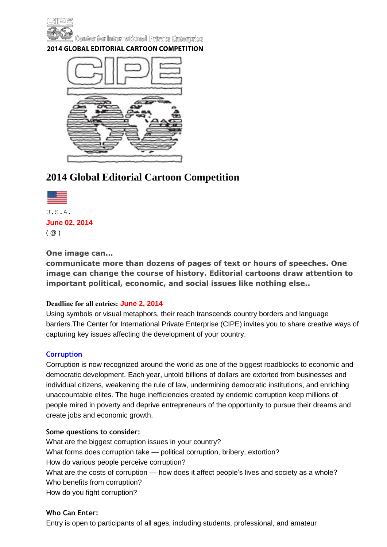

.<br>Center for International Private Enterprise

# **2014 GLOBAL EDITORIAL CARTOON COMPETITION**



# **2014 Global Editorial Cartoon Competition**



U.S.A. **June 02, 2014**  $( @)$ 

# **One image can…**

**communicate more than dozens of pages of text or hours of speeches. One image can change the course of history. Editorial cartoons draw attention to important political, economic, and social issues like nothing else..**

## **Deadline for all entries: June 2, 2014**

Using symbols or visual metaphors, their reach transcends country borders and language barriers.The Center for International Private Enterprise (CIPE) invites you to share creative ways of capturing key issues affecting the development of your country.

## **Corruption**

Corruption is now recognized around the world as one of the biggest roadblocks to economic and democratic development. Each year, untold billions of dollars are extorted from businesses and individual citizens, weakening the rule of law, undermining democratic institutions, and enriching unaccountable elites. The huge inefficiencies created by endemic corruption keep millions of people mired in poverty and deprive entrepreneurs of the opportunity to pursue their dreams and create jobs and economic growth.

## **Some questions to consider:**

What are the biggest corruption issues in your country? What forms does corruption take — political corruption, bribery, extortion? How do various people perceive corruption? What are the costs of corruption — how does it affect people's lives and society as a whole? Who benefits from corruption? How do you fight corruption?

## **Who Can Enter:**

Entry is open to participants of all ages, including students, professional, and amateur